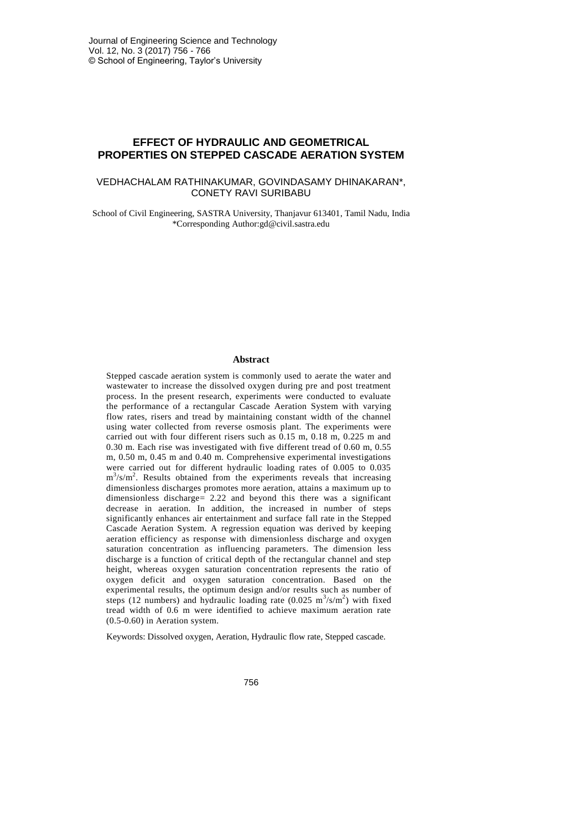# **EFFECT OF HYDRAULIC AND GEOMETRICAL PROPERTIES ON STEPPED CASCADE AERATION SYSTEM**

## VEDHACHALAM RATHINAKUMAR, GOVINDASAMY DHINAKARAN\*, CONETY RAVI SURIBABU

School of Civil Engineering, SASTRA University, Thanjavur 613401, Tamil Nadu, India \*Corresponding Author:gd@civil.sastra.edu

#### **Abstract**

Stepped cascade aeration system is commonly used to aerate the water and wastewater to increase the dissolved oxygen during pre and post treatment process. In the present research, experiments were conducted to evaluate the performance of a rectangular Cascade Aeration System with varying flow rates, risers and tread by maintaining constant width of the channel using water collected from reverse osmosis plant. The experiments were carried out with four different risers such as 0.15 m, 0.18 m, 0.225 m and 0.30 m. Each rise was investigated with five different tread of 0.60 m, 0.55 m, 0.50 m, 0.45 m and 0.40 m. Comprehensive experimental investigations were carried out for different hydraulic loading rates of 0.005 to 0.035 m<sup>3</sup>/s/m<sup>2</sup>. Results obtained from the experiments reveals that increasing dimensionless discharges promotes more aeration, attains a maximum up to dimensionless discharge= 2.22 and beyond this there was a significant decrease in aeration. In addition, the increased in number of steps significantly enhances air entertainment and surface fall rate in the Stepped Cascade Aeration System. A regression equation was derived by keeping aeration efficiency as response with dimensionless discharge and oxygen saturation concentration as influencing parameters. The dimension less discharge is a function of critical depth of the rectangular channel and step height, whereas oxygen saturation concentration represents the ratio of oxygen deficit and oxygen saturation concentration. Based on the experimental results, the optimum design and/or results such as number of steps (12 numbers) and hydraulic loading rate  $(0.025 \text{ m}^3/\text{s/m}^2)$  with fixed tread width of 0.6 m were identified to achieve maximum aeration rate (0.5-0.60) in Aeration system.

Keywords: Dissolved oxygen, Aeration, Hydraulic flow rate, Stepped cascade.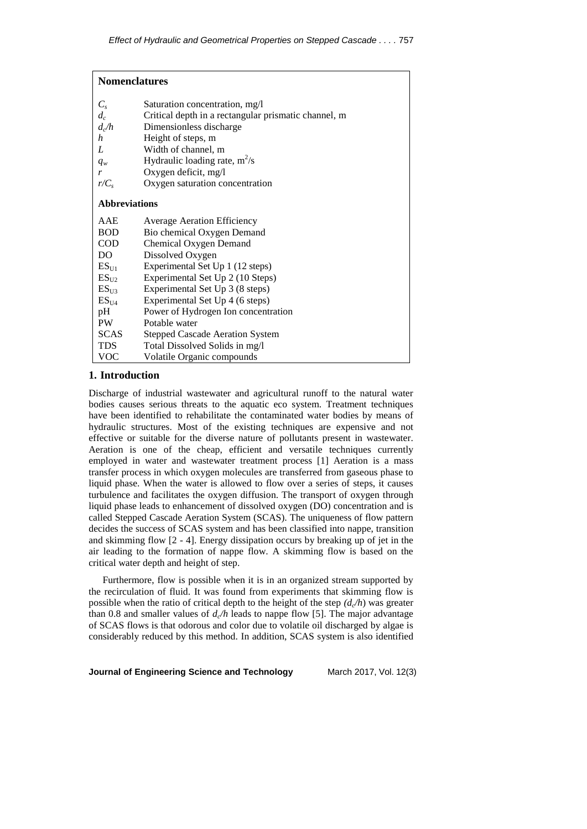| <b>Nomenclatures</b> |                                                      |  |  |  |
|----------------------|------------------------------------------------------|--|--|--|
| $C_{s}$              | Saturation concentration, mg/l                       |  |  |  |
| $d_c$                | Critical depth in a rectangular prismatic channel, m |  |  |  |
| $d_{c}/h$            | Dimensionless discharge                              |  |  |  |
| $\boldsymbol{h}$     | Height of steps, m                                   |  |  |  |
| L                    | Width of channel, m                                  |  |  |  |
| $q_w$                | Hydraulic loading rate, $m^2/s$                      |  |  |  |
| r                    | Oxygen deficit, mg/l                                 |  |  |  |
| $r/C_s$              | Oxygen saturation concentration                      |  |  |  |
| <b>Abbreviations</b> |                                                      |  |  |  |
| AAE                  | <b>Average Aeration Efficiency</b>                   |  |  |  |
| <b>BOD</b>           | Bio chemical Oxygen Demand                           |  |  |  |
| <b>COD</b>           | Chemical Oxygen Demand                               |  |  |  |
| DO                   | Dissolved Oxygen                                     |  |  |  |
| $ES_{U1}$            | Experimental Set Up 1 (12 steps)                     |  |  |  |
| ES <sub>U2</sub>     | Experimental Set Up 2 (10 Steps)                     |  |  |  |
| ES <sub>U3</sub>     | Experimental Set Up 3 (8 steps)                      |  |  |  |
| ES <sub>U4</sub>     | Experimental Set Up 4 (6 steps)                      |  |  |  |
| pH                   | Power of Hydrogen Ion concentration                  |  |  |  |
| <b>PW</b>            | Potable water                                        |  |  |  |
| <b>SCAS</b>          | <b>Stepped Cascade Aeration System</b>               |  |  |  |
| <b>TDS</b>           | Total Dissolved Solids in mg/l                       |  |  |  |
| VOC                  | Volatile Organic compounds                           |  |  |  |

## **1. Introduction**

Discharge of industrial wastewater and agricultural runoff to the natural water bodies causes serious threats to the aquatic eco system. Treatment techniques have been identified to rehabilitate the contaminated water bodies by means of hydraulic structures. Most of the existing techniques are expensive and not effective or suitable for the diverse nature of pollutants present in wastewater. Aeration is one of the cheap, efficient and versatile techniques currently employed in water and wastewater treatment process [1] Aeration is a mass transfer process in which oxygen molecules are transferred from gaseous phase to liquid phase. When the water is allowed to flow over a series of steps, it causes turbulence and facilitates the oxygen diffusion. The transport of oxygen through liquid phase leads to enhancement of dissolved oxygen (DO) concentration and is called Stepped Cascade Aeration System (SCAS). The uniqueness of flow pattern decides the success of SCAS system and has been classified into nappe, transition and skimming flow [2 - 4]. Energy dissipation occurs by breaking up of jet in the air leading to the formation of nappe flow. A skimming flow is based on the critical water depth and height of step.

Furthermore, flow is possible when it is in an organized stream supported by the recirculation of fluid. It was found from experiments that skimming flow is possible when the ratio of critical depth to the height of the step  $(d<sub>c</sub>/h)$  was greater than 0.8 and smaller values of  $d_c/h$  leads to nappe flow [5]. The major advantage of SCAS flows is that odorous and color due to volatile oil discharged by algae is considerably reduced by this method. In addition, SCAS system is also identified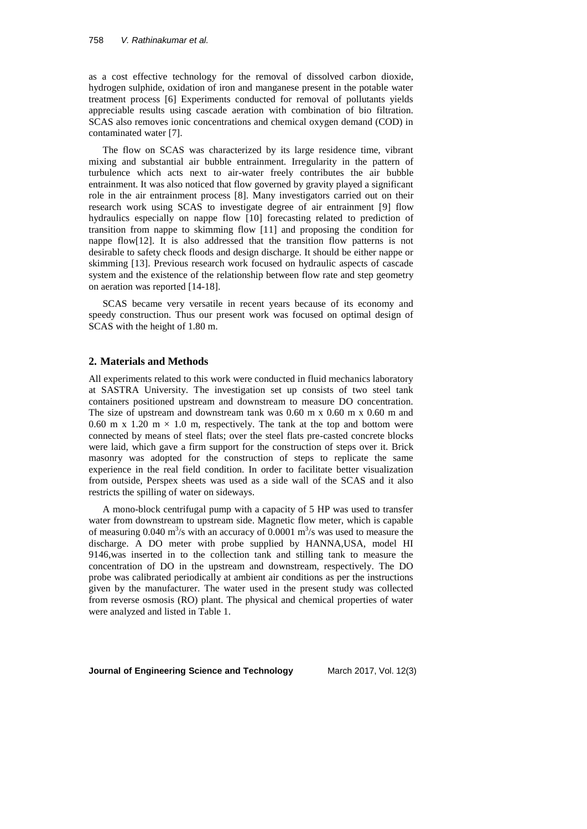as a cost effective technology for the removal of dissolved carbon dioxide, hydrogen sulphide, oxidation of iron and manganese present in the potable water treatment process [6] Experiments conducted for removal of pollutants yields appreciable results using cascade aeration with combination of bio filtration. SCAS also removes ionic concentrations and chemical oxygen demand (COD) in contaminated water [7].

The flow on SCAS was characterized by its large residence time, vibrant mixing and substantial air bubble entrainment. Irregularity in the pattern of turbulence which acts next to air-water freely contributes the air bubble entrainment. It was also noticed that flow governed by gravity played a significant role in the air entrainment process [8]. Many investigators carried out on their research work using SCAS to investigate degree of air entrainment [9] flow hydraulics especially on nappe flow [10] forecasting related to prediction of transition from nappe to skimming flow [11] and proposing the condition for nappe flow[12]. It is also addressed that the transition flow patterns is not desirable to safety check floods and design discharge. It should be either nappe or skimming [13]. Previous research work focused on hydraulic aspects of cascade system and the existence of the relationship between flow rate and step geometry on aeration was reported [14-18].

SCAS became very versatile in recent years because of its economy and speedy construction. Thus our present work was focused on optimal design of SCAS with the height of 1.80 m.

## **2. Materials and Methods**

All experiments related to this work were conducted in fluid mechanics laboratory at SASTRA University. The investigation set up consists of two steel tank containers positioned upstream and downstream to measure DO concentration. The size of upstream and downstream tank was 0.60 m x 0.60 m x 0.60 m and 0.60 m x 1.20 m  $\times$  1.0 m, respectively. The tank at the top and bottom were connected by means of steel flats; over the steel flats pre-casted concrete blocks were laid, which gave a firm support for the construction of steps over it. Brick masonry was adopted for the construction of steps to replicate the same experience in the real field condition. In order to facilitate better visualization from outside, Perspex sheets was used as a side wall of the SCAS and it also restricts the spilling of water on sideways.

A mono-block centrifugal pump with a capacity of 5 HP was used to transfer water from downstream to upstream side. Magnetic flow meter, which is capable of measuring 0.040  $\text{m}^3\text{/s}$  with an accuracy of 0.0001  $\text{m}^3\text{/s}$  was used to measure the discharge. A DO meter with probe supplied by HANNA,USA, model HI 9146,was inserted in to the collection tank and stilling tank to measure the concentration of DO in the upstream and downstream, respectively. The DO probe was calibrated periodically at ambient air conditions as per the instructions given by the manufacturer. The water used in the present study was collected from reverse osmosis (RO) plant. The physical and chemical properties of water were analyzed and listed in Table 1.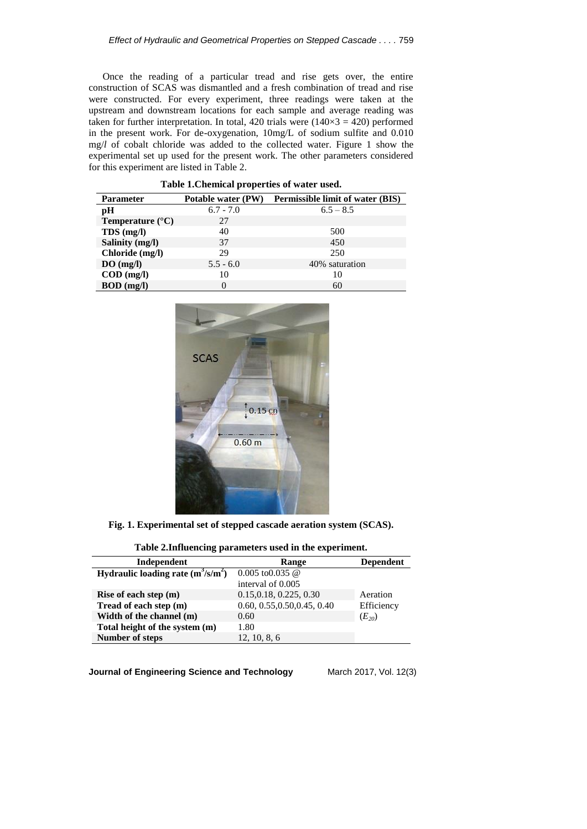Once the reading of a particular tread and rise gets over, the entire construction of SCAS was dismantled and a fresh combination of tread and rise were constructed. For every experiment, three readings were taken at the upstream and downstream locations for each sample and average reading was taken for further interpretation. In total, 420 trials were  $(140 \times 3 = 420)$  performed in the present work. For de-oxygenation, 10mg/L of sodium sulfite and 0.010 mg/*l* of cobalt chloride was added to the collected water. Figure 1 show the experimental set up used for the present work. The other parameters considered for this experiment are listed in Table 2.

**Table 1.Chemical properties of water used.**

| <b>Parameter</b>          | Potable water (PW) | <b>Permissible limit of water (BIS)</b> |
|---------------------------|--------------------|-----------------------------------------|
| pН                        | $6.7 - 7.0$        | $6.5 - 8.5$                             |
| Temperature $(^{\circ}C)$ | 27                 |                                         |
| $TDS$ (mg/l)              | 40                 | 500                                     |
| Salinity (mg/l)           | 37                 | 450                                     |
| Chloride (mg/l)           | 29                 | 250                                     |
| DO(mg/l)                  | $5.5 - 6.0$        | 40% saturation                          |
| $\text{COD}$ (mg/l)       | 10                 | 10                                      |
| $BOD$ (mg/l)              |                    | 60                                      |



**Fig. 1. Experimental set of stepped cascade aeration system (SCAS).**

# **Table 2.Influencing parameters used in the experiment.**

| Independent                          | Range                                | <b>Dependent</b> |
|--------------------------------------|--------------------------------------|------------------|
| Hydraulic loading rate $(m^3/s/m^2)$ | $0.005 \text{ to } 0.035 \text{ } @$ |                  |
|                                      | interval of 0.005                    |                  |
| Rise of each step (m)                | 0.15, 0.18, 0.225, 0.30              | Aeration         |
| Tread of each step (m)               | 0.60, 0.55, 0.50, 0.45, 0.40         | Efficiency       |
| Width of the channel (m)             | 0.60                                 | $(E_{20})$       |
| Total height of the system (m)       | 1.80                                 |                  |
| <b>Number of steps</b>               | 12, 10, 8, 6                         |                  |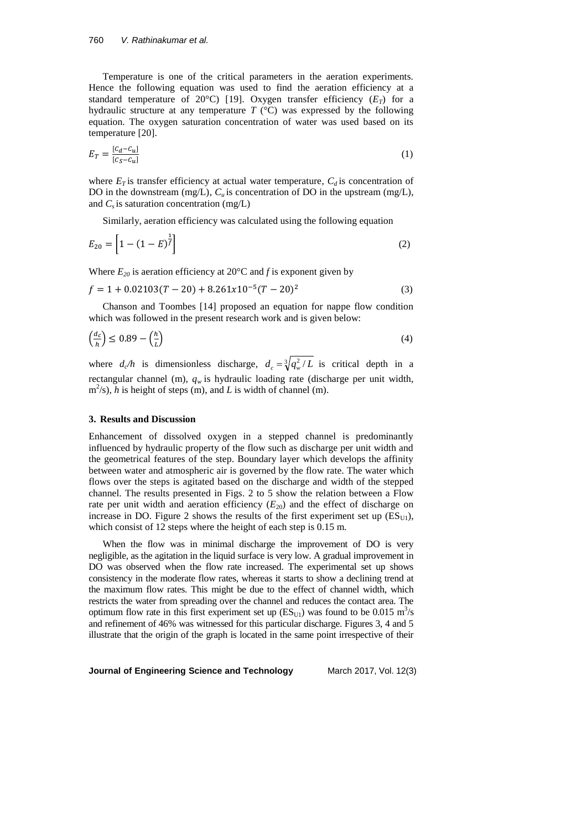Temperature is one of the critical parameters in the aeration experiments. Hence the following equation was used to find the aeration efficiency at a standard temperature of 20 $^{\circ}$ C) [19]. Oxygen transfer efficiency  $(E_T)$  for a hydraulic structure at any temperature *T* (°C) was expressed by the following equation. The oxygen saturation concentration of water was used based on its temperature [20].

$$
E_T = \frac{[c_d - c_u]}{[c_S - c_u]}
$$
\n<sup>(1)</sup>

where  $E_T$  is transfer efficiency at actual water temperature,  $C_d$  is concentration of DO in the downstream (mg/L),  $C_u$  is concentration of DO in the upstream (mg/L), and  $C_s$  is saturation concentration (mg/L)

Similarly, aeration efficiency was calculated using the following equation

$$
E_{20} = \left[1 - (1 - E)^{\frac{1}{f}}\right]
$$
 (2)

Where  $E_{20}$  is aeration efficiency at 20 $\degree$ C and *f* is exponent given by

$$
f = 1 + 0.02103(T - 20) + 8.261x10^{-5}(T - 20)^2
$$
\n(3)

Chanson and Toombes [14] proposed an equation for nappe flow condition which was followed in the present research work and is given below:

$$
\left(\frac{d_c}{h}\right) \le 0.89 - \left(\frac{h}{L}\right) \tag{4}
$$

where  $d_c/h$  is dimensionless discharge,  $d_c = \sqrt[3]{q_w^2/L}$  is critical depth in a rectangular channel (m), *q<sup>w</sup>* is hydraulic loading rate (discharge per unit width,  $m^2$ /s), *h* is height of steps (m), and *L* is width of channel (m).

#### **3. Results and Discussion**

Enhancement of dissolved oxygen in a stepped channel is predominantly influenced by hydraulic property of the flow such as discharge per unit width and the geometrical features of the step. Boundary layer which develops the affinity between water and atmospheric air is governed by the flow rate. The water which flows over the steps is agitated based on the discharge and width of the stepped channel. The results presented in Figs. 2 to 5 show the relation between a Flow rate per unit width and aeration efficiency  $(E_{20})$  and the effect of discharge on increase in DO. Figure 2 shows the results of the first experiment set up  $(ES_{U1})$ , which consist of 12 steps where the height of each step is 0.15 m.

When the flow was in minimal discharge the improvement of DO is very negligible, as the agitation in the liquid surface is very low. A gradual improvement in DO was observed when the flow rate increased. The experimental set up shows consistency in the moderate flow rates, whereas it starts to show a declining trend at the maximum flow rates. This might be due to the effect of channel width, which restricts the water from spreading over the channel and reduces the contact area. The optimum flow rate in this first experiment set up  $(ES_{U1})$  was found to be 0.015 m<sup>3</sup>/s and refinement of 46% was witnessed for this particular discharge. Figures 3, 4 and 5 illustrate that the origin of the graph is located in the same point irrespective of their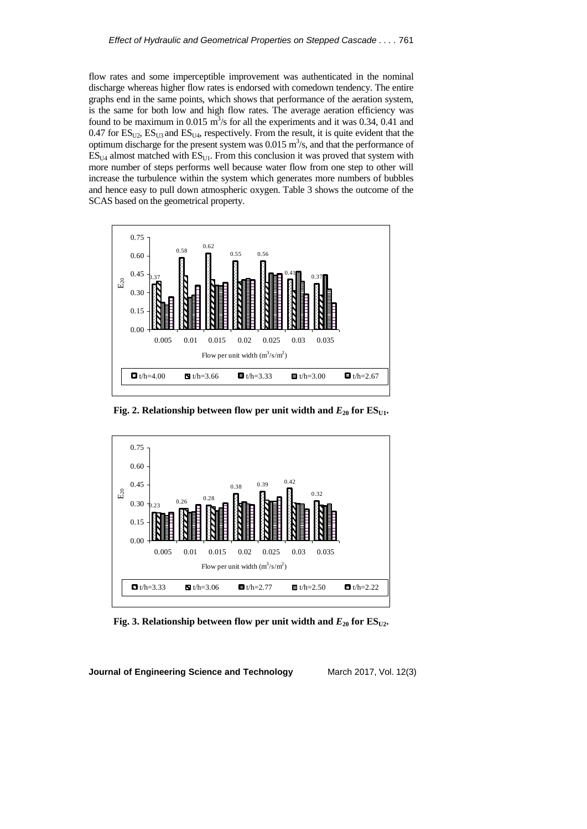flow rates and some imperceptible improvement was authenticated in the nominal discharge whereas higher flow rates is endorsed with comedown tendency. The entire graphs end in the same points, which shows that performance of the aeration system, is the same for both low and high flow rates. The average aeration efficiency was found to be maximum in 0.015  $\text{m}^3$ /s for all the experiments and it was 0.34, 0.41 and 0.47 for  $ES<sub>U2</sub>$ ,  $ES<sub>U3</sub>$  and  $ES<sub>U4</sub>$ , respectively. From the result, it is quite evident that the optimum discharge for the present system was  $0.015 \text{ m}^3/\text{s}$ , and that the performance of  $ES<sub>U4</sub>$  almost matched with  $ES<sub>U1</sub>$ . From this conclusion it was proved that system with more number of steps performs well because water flow from one step to other will increase the turbulence within the system which generates more numbers of bubbles and hence easy to pull down atmospheric oxygen. Table 3 shows the outcome of the SCAS based on the geometrical property.



**Fig. 2. Relationship between flow per unit width and**  $E_{20}$  **for**  $ES_{U1}$ **.** 



**Fig. 3. Relationship between flow per unit width and**  $E_{20}$  **for**  $ES_{U2}$ **.**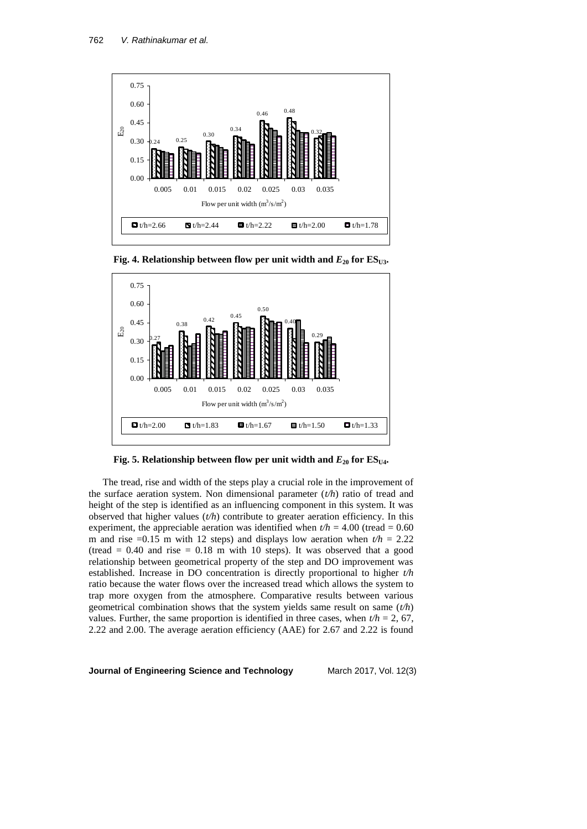

**Fig. 4. Relationship between flow per unit width and**  $E_{20}$  **for**  $ES_{U3}$ **.** 



**Fig. 5. Relationship between flow per unit width and**  $E_{20}$  **for**  $ES_{U4}$ **.** 

The tread, rise and width of the steps play a crucial role in the improvement of the surface aeration system. Non dimensional parameter (*t/h*) ratio of tread and height of the step is identified as an influencing component in this system. It was observed that higher values  $(t/h)$  contribute to greater aeration efficiency. In this experiment, the appreciable aeration was identified when  $t/h = 4.00$  (tread = 0.60) m and rise  $=0.15$  m with 12 steps) and displays low aeration when  $t/h = 2.22$ (tread  $= 0.40$  and rise  $= 0.18$  m with 10 steps). It was observed that a good relationship between geometrical property of the step and DO improvement was established. Increase in DO concentration is directly proportional to higher *t/h* ratio because the water flows over the increased tread which allows the system to trap more oxygen from the atmosphere. Comparative results between various geometrical combination shows that the system yields same result on same (*t/h*) values. Further, the same proportion is identified in three cases, when  $t/h = 2$ , 67, 2.22 and 2.00. The average aeration efficiency (AAE) for 2.67 and 2.22 is found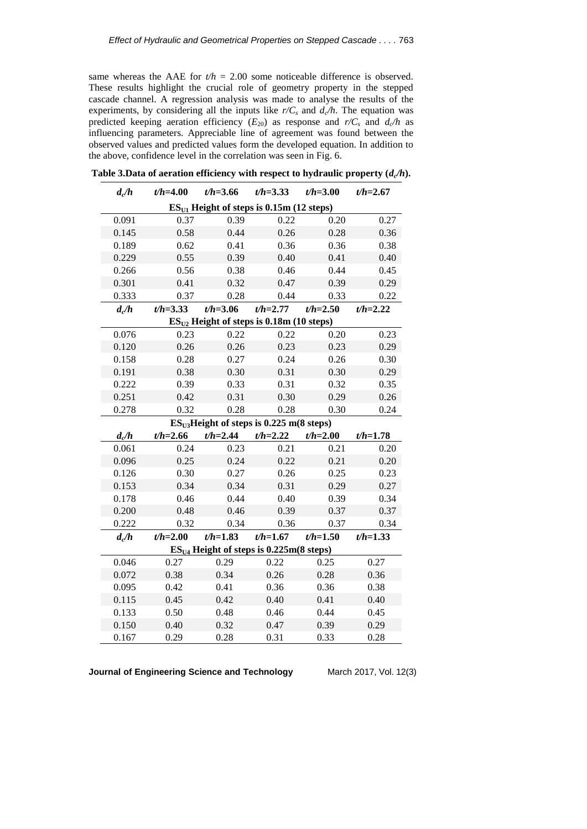same whereas the AAE for  $t/h = 2.00$  some noticeable difference is observed. These results highlight the crucial role of geometry property in the stepped cascade channel. A regression analysis was made to analyse the results of the experiments, by considering all the inputs like  $r/C_s$  and  $d_c/h$ . The equation was predicted keeping aeration efficiency  $(E_{20})$  as response and  $r/C_s$  and  $d_c/h$  as influencing parameters. Appreciable line of agreement was found between the observed values and predicted values form the developed equation. In addition to the above, confidence level in the correlation was seen in Fig. 6.

| d/h                                         | $t/h = 4.00$ | $t/h = 3.66$ | $t/h = 3.33$ | $t/h = 3.00$ | $t/h = 2.67$ |  |  |  |  |
|---------------------------------------------|--------------|--------------|--------------|--------------|--------------|--|--|--|--|
| $ESII1$ Height of steps is 0.15m (12 steps) |              |              |              |              |              |  |  |  |  |
| 0.091                                       | 0.37         | 0.39         | 0.22         | 0.20         | 0.27         |  |  |  |  |
| 0.145                                       | 0.58         | 0.44         | 0.26         | 0.28         | 0.36         |  |  |  |  |
| 0.189                                       | 0.62         | 0.41         | 0.36         | 0.36         | 0.38         |  |  |  |  |
| 0.229                                       | 0.55         | 0.39         | 0.40         | 0.41         | 0.40         |  |  |  |  |
| 0.266                                       | 0.56         | 0.38         | 0.46         | 0.44         | 0.45         |  |  |  |  |
| 0.301                                       | 0.41         | 0.32         | 0.47         | 0.39         | 0.29         |  |  |  |  |
| 0.333                                       | 0.37         | 0.28         | 0.44         | 0.33         | 0.22         |  |  |  |  |
| $d_c/h$                                     | $t/h = 3.33$ | $t/h = 3.06$ | $t/h = 2.77$ | $t/h = 2.50$ | $t/h = 2.22$ |  |  |  |  |
| $ESU2$ Height of steps is 0.18m (10 steps)  |              |              |              |              |              |  |  |  |  |
| 0.076                                       | 0.23         | 0.22         | 0.22         | 0.20         | 0.23         |  |  |  |  |
| 0.120                                       | 0.26         | 0.26         | 0.23         | 0.23         | 0.29         |  |  |  |  |
| 0.158                                       | 0.28         | 0.27         | 0.24         | 0.26         | 0.30         |  |  |  |  |
| 0.191                                       | 0.38         | 0.30         | 0.31         | 0.30         | 0.29         |  |  |  |  |
| 0.222                                       | 0.39         | 0.33         | 0.31         | 0.32         | 0.35         |  |  |  |  |
| 0.251                                       | 0.42         | 0.31         | 0.30         | 0.29         | 0.26         |  |  |  |  |
| 0.278                                       | 0.32         | 0.28         | 0.28         | 0.30         | 0.24         |  |  |  |  |
| $ESU3Height of steps is 0.225 m(8 steps)$   |              |              |              |              |              |  |  |  |  |
| $d_{c}/h$                                   | $t/h = 2.66$ | $t/h = 2.44$ | $t/h = 2.22$ | $t/h = 2.00$ | $t/h = 1.78$ |  |  |  |  |
| 0.061                                       | 0.24         | 0.23         | 0.21         | 0.21         | 0.20         |  |  |  |  |
| 0.096                                       | 0.25         | 0.24         | 0.22         | 0.21         | 0.20         |  |  |  |  |
| 0.126                                       | 0.30         | 0.27         | 0.26         | 0.25         | 0.23         |  |  |  |  |
| 0.153                                       | 0.34         | 0.34         | 0.31         | 0.29         | 0.27         |  |  |  |  |
| 0.178                                       | 0.46         | 0.44         | 0.40         | 0.39         | 0.34         |  |  |  |  |
| 0.200                                       | 0.48         | 0.46         | 0.39         | 0.37         | 0.37         |  |  |  |  |
| 0.222                                       | 0.32         | 0.34         | 0.36         | 0.37         | 0.34         |  |  |  |  |
| $d_{c}/h$                                   | $t/h = 2.00$ | $t/h = 1.83$ | $t/h = 1.67$ | $t/h = 1.50$ | $t/h = 1.33$ |  |  |  |  |
| $ESU4 Height of steps is 0.225m(8 steps)$   |              |              |              |              |              |  |  |  |  |
| 0.046                                       | 0.27         | 0.29         | 0.22         | 0.25         | 0.27         |  |  |  |  |
| 0.072                                       | 0.38         | 0.34         | 0.26         | 0.28         | 0.36         |  |  |  |  |
| 0.095                                       |              | 0.41         | 0.36         | 0.36         | 0.38         |  |  |  |  |
|                                             | 0.42         |              |              |              |              |  |  |  |  |
| 0.115                                       | 0.45         | 0.42         | 0.40         | 0.41         | 0.40         |  |  |  |  |
| 0.133                                       | 0.50         | 0.48         | 0.46         | 0.44         | 0.45         |  |  |  |  |
| 0.150                                       | 0.40<br>0.29 | 0.32<br>0.28 | 0.47<br>0.31 | 0.39<br>0.33 | 0.29<br>0.28 |  |  |  |  |

Table 3.Data of aeration efficiency with respect to hydraulic property  $(d_c/h)$ .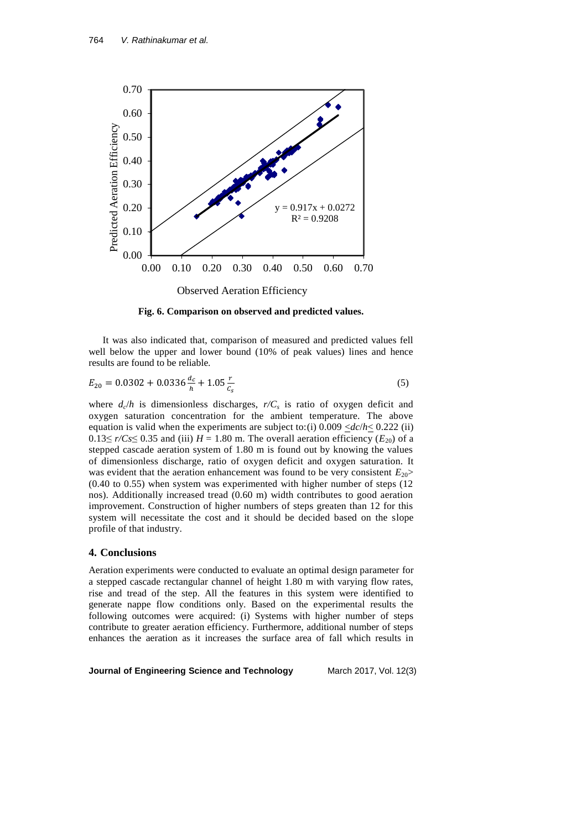

**Fig. 6. Comparison on observed and predicted values.**

It was also indicated that, comparison of measured and predicted values fell well below the upper and lower bound (10% of peak values) lines and hence results are found to be reliable.

$$
E_{20} = 0.0302 + 0.0336 \frac{d_c}{h} + 1.05 \frac{r}{c_s}
$$
 (5)

where  $d_c/h$  is dimensionless discharges,  $r/C_s$  is ratio of oxygen deficit and oxygen saturation concentration for the ambient temperature. The above equation is valid when the experiments are subject to:(i)  $0.009 \le \frac{dc}{h} \le 0.222$  (ii) 0.13≤  $r/Cs$ ≤ 0.35 and (iii)  $H = 1.80$  m. The overall aeration efficiency ( $E_{20}$ ) of a stepped cascade aeration system of 1.80 m is found out by knowing the values of dimensionless discharge, ratio of oxygen deficit and oxygen saturation. It was evident that the aeration enhancement was found to be very consistent  $E_{20}$ (0.40 to 0.55) when system was experimented with higher number of steps (12 nos). Additionally increased tread (0.60 m) width contributes to good aeration improvement. Construction of higher numbers of steps greaten than 12 for this system will necessitate the cost and it should be decided based on the slope profile of that industry.

## **4. Conclusions**

Aeration experiments were conducted to evaluate an optimal design parameter for a stepped cascade rectangular channel of height 1.80 m with varying flow rates, rise and tread of the step. All the features in this system were identified to generate nappe flow conditions only. Based on the experimental results the following outcomes were acquired: (i) Systems with higher number of steps contribute to greater aeration efficiency. Furthermore, additional number of steps enhances the aeration as it increases the surface area of fall which results in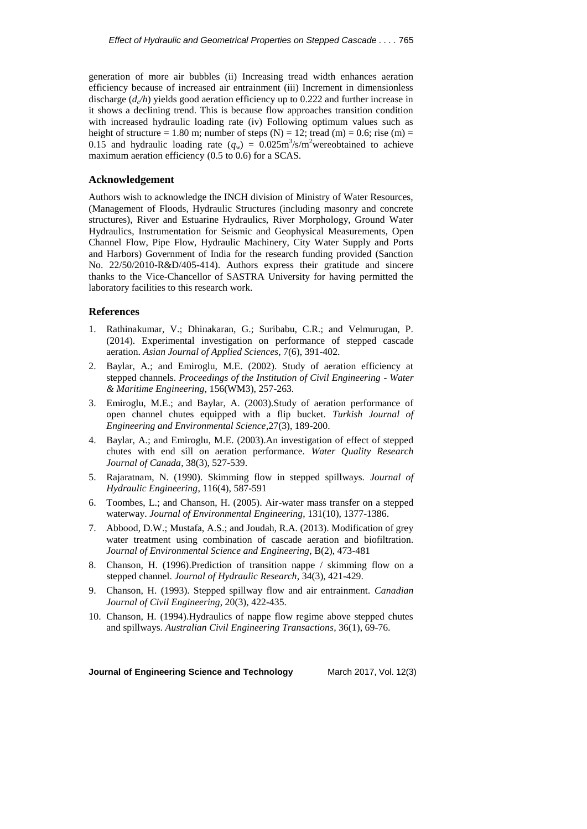generation of more air bubbles (ii) Increasing tread width enhances aeration efficiency because of increased air entrainment (iii) Increment in dimensionless discharge (*d<sup>c</sup> /h*) yields good aeration efficiency up to 0.222 and further increase in it shows a declining trend. This is because flow approaches transition condition with increased hydraulic loading rate (iv) Following optimum values such as height of structure = 1.80 m; number of steps  $(N) = 12$ ; tread  $(m) = 0.6$ ; rise  $(m) =$ 0.15 and hydraulic loading rate  $(q_w) = 0.025 \text{m}^3/\text{s/m}^2$  were obtained to achieve maximum aeration efficiency (0.5 to 0.6) for a SCAS.

### **Acknowledgement**

Authors wish to acknowledge the INCH division of Ministry of Water Resources, (Management of Floods, Hydraulic Structures (including masonry and concrete structures), River and Estuarine Hydraulics, River Morphology, Ground Water Hydraulics, Instrumentation for Seismic and Geophysical Measurements, Open Channel Flow, Pipe Flow, Hydraulic Machinery, City Water Supply and Ports and Harbors) Government of India for the research funding provided (Sanction No. 22/50/2010-R&D/405-414). Authors express their gratitude and sincere thanks to the Vice-Chancellor of SASTRA University for having permitted the laboratory facilities to this research work.

### **References**

- 1. Rathinakumar, V.; Dhinakaran, G.; Suribabu, C.R.; and Velmurugan, P. (2014). Experimental investigation on performance of stepped cascade aeration. *Asian Journal of Applied Sciences*, 7(6), 391-402.
- 2. Baylar, A.; and Emiroglu, M.E. (2002). Study of aeration efficiency at stepped channels. *Proceedings of the Institution of Civil Engineering - Water & Maritime Engineering*, 156(WM3), 257-263.
- 3. Emiroglu, M.E.; and Baylar, A. (2003).Study of aeration performance of open channel chutes equipped with a flip bucket. *Turkish Journal of Engineering and Environmental Science*,27(3), 189-200.
- 4. Baylar, A.; and Emiroglu, M.E. (2003).An investigation of effect of stepped chutes with end sill on aeration performance. *Water Quality Research Journal of Canada*, 38(3), 527-539.
- 5. Rajaratnam, N. (1990). Skimming flow in stepped spillways. *Journal of Hydraulic Engineering*, 116(4), 587-591
- 6. Toombes, L.; and Chanson, H. (2005). Air-water mass transfer on a stepped waterway. *Journal of Environmental Engineering*, 131(10), 1377-1386.
- 7. Abbood, D.W.; Mustafa, A.S.; and Joudah, R.A. (2013). Modification of grey water treatment using combination of cascade aeration and biofiltration. *Journal of Environmental Science and Engineering*, B(2), 473-481
- 8. Chanson, H. (1996).Prediction of transition nappe / skimming flow on a stepped channel. *Journal of Hydraulic Research*, 34(3), 421-429.
- 9. Chanson, H. (1993). Stepped spillway flow and air entrainment. *Canadian Journal of Civil Engineering*, 20(3), 422-435.
- 10. Chanson, H. (1994).Hydraulics of nappe flow regime above stepped chutes and spillways. *Australian Civil Engineering Transactions*, 36(1), 69-76.